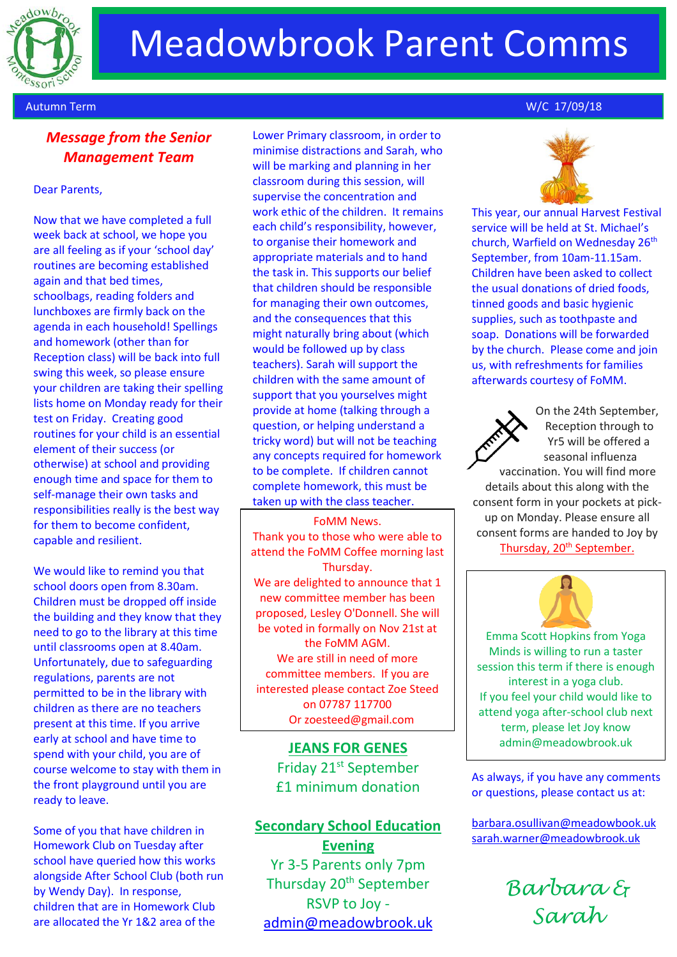

# Meadowbrook Parent Comms

## *Message from the Senior Management Team*

#### Dear Parents,

Now that we have completed a full week back at school, we hope you are all feeling as if your 'school day' routines are becoming established again and that bed times, schoolbags, reading folders and lunchboxes are firmly back on the agenda in each household! Spellings and homework (other than for Reception class) will be back into full swing this week, so please ensure your children are taking their spelling lists home on Monday ready for their test on Friday. Creating good routines for your child is an essential element of their success (or otherwise) at school and providing enough time and space for them to self-manage their own tasks and responsibilities really is the best way for them to become confident, capable and resilient.

We would like to remind you that school doors open from 8.30am. Children must be dropped off inside the building and they know that they need to go to the library at this time until classrooms open at 8.40am. Unfortunately, due to safeguarding regulations, parents are not permitted to be in the library with children as there are no teachers present at this time. If you arrive early at school and have time to spend with your child, you are of course welcome to stay with them in the front playground until you are ready to leave.

Some of you that have children in Homework Club on Tuesday after school have queried how this works alongside After School Club (both run by Wendy Day). In response, children that are in Homework Club are allocated the Yr 1&2 area of the

Lower Primary classroom, in order to minimise distractions and Sarah, who will be marking and planning in her classroom during this session, will supervise the concentration and work ethic of the children. It remains each child's responsibility, however, to organise their homework and appropriate materials and to hand the task in. This supports our belief that children should be responsible for managing their own outcomes, and the consequences that this might naturally bring about (which would be followed up by class teachers). Sarah will support the children with the same amount of support that you yourselves might provide at home (talking through a question, or helping understand a tricky word) but will not be teaching any concepts required for homework to be complete. If children cannot complete homework, this must be taken up with the class teacher.

FoMM News. Thank you to those who were able to attend the FoMM Coffee morning last Thursday. We are delighted to announce that 1 new committee member has been proposed, Lesley O'Donnell. She will be voted in formally on Nov 21st at the FoMM AGM. We are still in need of more committee members. If you are interested please contact Zoe Steed on 07787 117700 Or zoesteed@gmail.com

> **JEANS FOR GENES** Friday 21<sup>st</sup> September £1 minimum donation

# **Secondary School Education Evening** Yr 3-5 Parents only 7pm Thursday 20<sup>th</sup> September RSVP to Joy [admin@meadowbrook.uk](mailto:admin@meadowbrook.uk)

### Autumn Term W/C 17/09/18



This year, our annual Harvest Festival service will be held at St. Michael's church, Warfield on Wednesday 26<sup>th</sup> September, from 10am-11.15am. Children have been asked to collect the usual donations of dried foods, tinned goods and basic hygienic supplies, such as toothpaste and soap. Donations will be forwarded by the church. Please come and join us, with refreshments for families afterwards courtesy of FoMM.



On the 24th September, Reception through to Yr5 will be offered a seasonal influenza

vaccination. You will find more details about this along with the consent form in your pockets at pickup on Monday. Please ensure all consent forms are handed to Joy by Thursday, 20<sup>th</sup> September.



. attend yoga after-school club next Emma Scott Hopkins from Yoga Minds is willing to run a taster session this term if there is enough interest in a yoga club. If you feel your child would like to term, please let Joy know admin@meadowbrook.uk

As always, if you have any comments or questions, please contact us at:

[barbara.osullivan@meadowbook.uk](mailto:barbara.osullivan@meadowbook.uk) [sarah.warner@meadowbrook.uk](mailto:sarah.warner@meadowbrook.uk)

> *Barbara & Sarah*